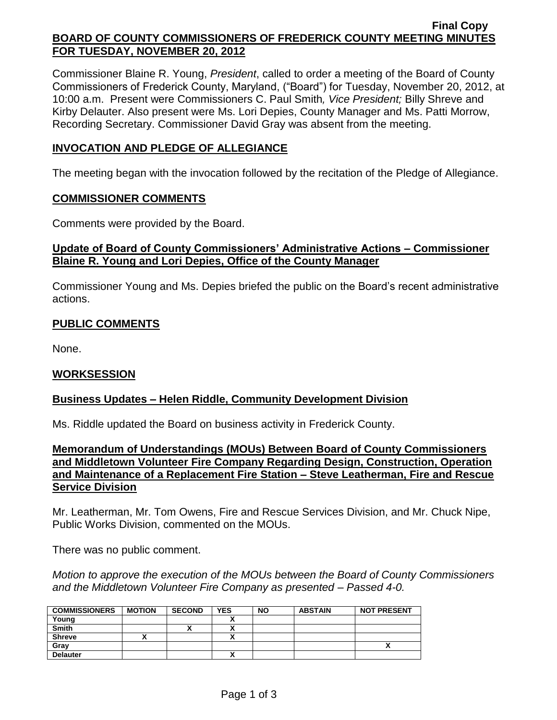#### **Final Copy BOARD OF COUNTY COMMISSIONERS OF FREDERICK COUNTY MEETING MINUTES FOR TUESDAY, NOVEMBER 20, 2012**

Commissioner Blaine R. Young, *President*, called to order a meeting of the Board of County Commissioners of Frederick County, Maryland, ("Board") for Tuesday, November 20, 2012, at 10:00 a.m. Present were Commissioners C. Paul Smith*, Vice President;* Billy Shreve and Kirby Delauter. Also present were Ms. Lori Depies, County Manager and Ms. Patti Morrow, Recording Secretary. Commissioner David Gray was absent from the meeting.

### **INVOCATION AND PLEDGE OF ALLEGIANCE**

The meeting began with the invocation followed by the recitation of the Pledge of Allegiance.

#### **COMMISSIONER COMMENTS**

Comments were provided by the Board.

## **Update of Board of County Commissioners' Administrative Actions – Commissioner Blaine R. Young and Lori Depies, Office of the County Manager**

Commissioner Young and Ms. Depies briefed the public on the Board's recent administrative actions.

# **PUBLIC COMMENTS**

None.

### **WORKSESSION**

### **Business Updates – Helen Riddle, Community Development Division**

Ms. Riddle updated the Board on business activity in Frederick County.

**Memorandum of Understandings (MOUs) Between Board of County Commissioners and Middletown Volunteer Fire Company Regarding Design, Construction, Operation and Maintenance of a Replacement Fire Station – Steve Leatherman, Fire and Rescue Service Division**

Mr. Leatherman, Mr. Tom Owens, Fire and Rescue Services Division, and Mr. Chuck Nipe, Public Works Division, commented on the MOUs.

There was no public comment.

*Motion to approve the execution of the MOUs between the Board of County Commissioners and the Middletown Volunteer Fire Company as presented – Passed 4-0.*

| <b>COMMISSIONERS</b> | <b>MOTION</b> | <b>SECOND</b> | <b>YES</b> | <b>NO</b> | <b>ABSTAIN</b> | <b>NOT PRESENT</b> |
|----------------------|---------------|---------------|------------|-----------|----------------|--------------------|
| Young                |               |               | ~          |           |                |                    |
| <b>Smith</b>         |               | $\mathbf{v}$  | v<br>^     |           |                |                    |
| <b>Shreve</b>        |               |               | Λ          |           |                |                    |
| Gray                 |               |               |            |           |                |                    |
| <b>Delauter</b>      |               |               | ^          |           |                |                    |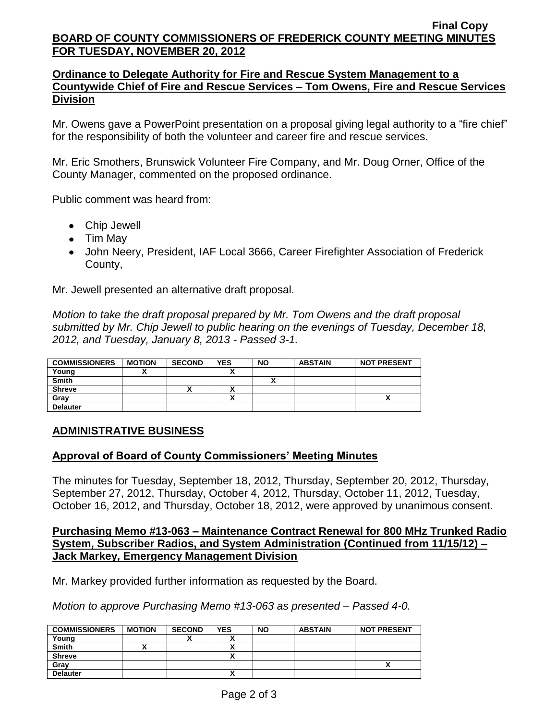#### **Final Copy BOARD OF COUNTY COMMISSIONERS OF FREDERICK COUNTY MEETING MINUTES FOR TUESDAY, NOVEMBER 20, 2012**

### **Ordinance to Delegate Authority for Fire and Rescue System Management to a Countywide Chief of Fire and Rescue Services – Tom Owens, Fire and Rescue Services Division**

Mr. Owens gave a PowerPoint presentation on a proposal giving legal authority to a "fire chief" for the responsibility of both the volunteer and career fire and rescue services.

Mr. Eric Smothers, Brunswick Volunteer Fire Company, and Mr. Doug Orner, Office of the County Manager, commented on the proposed ordinance.

Public comment was heard from:

- Chip Jewell
- Tim May
- John Neery, President, IAF Local 3666, Career Firefighter Association of Frederick County,

Mr. Jewell presented an alternative draft proposal.

*Motion to take the draft proposal prepared by Mr. Tom Owens and the draft proposal submitted by Mr. Chip Jewell to public hearing on the evenings of Tuesday, December 18, 2012, and Tuesday, January 8, 2013 - Passed 3-1.*

| <b>COMMISSIONERS</b> | <b>MOTION</b> | <b>SECOND</b> | <b>YES</b> | <b>NO</b> | <b>ABSTAIN</b> | <b>NOT PRESENT</b> |
|----------------------|---------------|---------------|------------|-----------|----------------|--------------------|
| Young                |               |               |            |           |                |                    |
| <b>Smith</b>         |               |               |            |           |                |                    |
| <b>Shreve</b>        |               |               | ^          |           |                |                    |
| Grav                 |               |               | ^          |           |                |                    |
| <b>Delauter</b>      |               |               |            |           |                |                    |

### **ADMINISTRATIVE BUSINESS**

### **Approval of Board of County Commissioners' Meeting Minutes**

The minutes for Tuesday, September 18, 2012, Thursday, September 20, 2012, Thursday, September 27, 2012, Thursday, October 4, 2012, Thursday, October 11, 2012, Tuesday, October 16, 2012, and Thursday, October 18, 2012, were approved by unanimous consent.

#### **Purchasing Memo #13-063 – Maintenance Contract Renewal for 800 MHz Trunked Radio System, Subscriber Radios, and System Administration (Continued from 11/15/12) – Jack Markey, Emergency Management Division**

Mr. Markey provided further information as requested by the Board.

*Motion to approve Purchasing Memo #13-063 as presented – Passed 4-0.*

| <b>COMMISSIONERS</b> | <b>MOTION</b> | <b>SECOND</b> | <b>YES</b> | <b>NO</b> | <b>ABSTAIN</b> | <b>NOT PRESENT</b> |
|----------------------|---------------|---------------|------------|-----------|----------------|--------------------|
| Young                |               | ,,            |            |           |                |                    |
| <b>Smith</b>         |               |               |            |           |                |                    |
| <b>Shreve</b>        |               |               |            |           |                |                    |
| Gray                 |               |               |            |           |                |                    |
| <b>Delauter</b>      |               |               |            |           |                |                    |